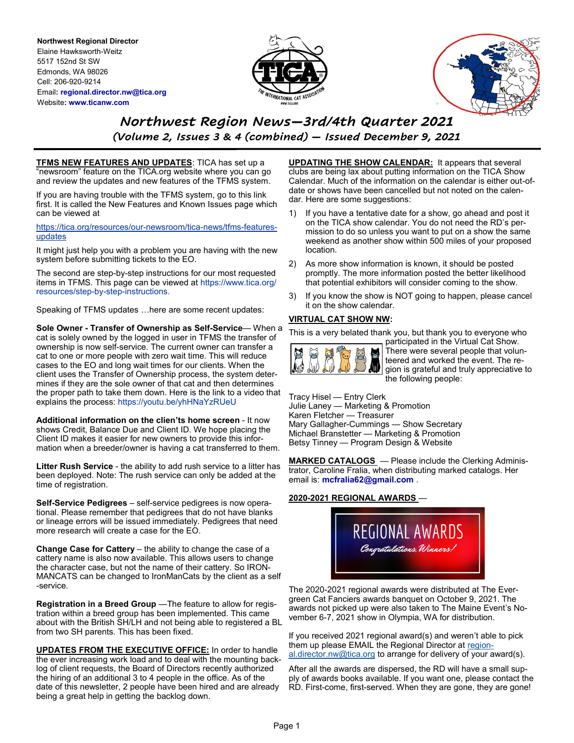**Northwest Regional Director** Elaine Hawksworth-Weitz 5517 152nd St SW Edmonds, WA 98026 Cell: 206-920-9214 Email**: regional.director.nw@tica.org** Website**: www.ticanw.com**





# *Northwest Region News—3rd/4th Quarter 2021 (Volume 2, Issues 3 & 4 (combined) — Issued December 9, 2021*

**TFMS NEW FEATURES AND UPDATES**: TICA has set up a "newsroom" feature on the TICA.org website where you can go and review the updates and new features of the TFMS system.

If you are having trouble with the TFMS system, go to this link first. It is called the New Features and Known Issues page which can be viewed at

[https://tica.org/resources/our](https://tica.org/resources/our-newsroom/tica-news/tfms-features-udpates)-newsroom/tica-news/tfms-features[updates](https://tica.org/resources/our-newsroom/tica-news/tfms-features-udpates)

It might just help you with a problem you are having with the new system before submitting tickets to the EO.

The second are step-by-step instructions for our most requested items in TFMS. This page can be viewed at https://www.tica.org/ resources/step-by-step-instructions.

Speaking of TFMS updates …here are some recent updates:

**Sole Owner - Transfer of Ownership as Self-Service**— When a cat is solely owned by the logged in user in TFMS the transfer of ownership is now self-service. The current owner can transfer a cat to one or more people with zero wait time. This will reduce cases to the EO and long wait times for our clients. When the client uses the Transfer of Ownership process, the system determines if they are the sole owner of that cat and then determines the proper path to take them down. Here is the link to a video that explains the process: https://youtu.be/yhHNaYzRUeU

**Additional information on the clien'ts home screen** - It now shows Credit, Balance Due and Client ID. We hope placing the Client ID makes it easier for new owners to provide this information when a breeder/owner is having a cat transferred to them.

**Litter Rush Service** - the ability to add rush service to a litter has been deployed. Note: The rush service can only be added at the time of registration.

**Self-Service Pedigrees** – self-service pedigrees is now operational. Please remember that pedigrees that do not have blanks or lineage errors will be issued immediately. Pedigrees that need more research will create a case for the EO.

**Change Case for Cattery** – the ability to change the case of a cattery name is also now available. This allows users to change the character case, but not the name of their cattery. So IRON-MANCATS can be changed to IronManCats by the client as a self -service.

**Registration in a Breed Group** —The feature to allow for registration within a breed group has been implemented. This came about with the British SH/LH and not being able to registered a BL from two SH parents. This has been fixed.

**UPDATES FROM THE EXECUTIVE OFFICE:** In order to handle the ever increasing work load and to deal with the mounting backlog of client requests, the Board of Directors recently authorized the hiring of an additional 3 to 4 people in the office. As of the date of this newsletter, 2 people have been hired and are already being a great help in getting the backlog down.

**UPDATING THE SHOW CALENDAR:** It appears that several clubs are being lax about putting information on the TICA Show Calendar. Much of the information on the calendar is either out-ofdate or shows have been cancelled but not noted on the calendar. Here are some suggestions:

- 1) If you have a tentative date for a show, go ahead and post it on the TICA show calendar. You do not need the RD's permission to do so unless you want to put on a show the same weekend as another show within 500 miles of your proposed location.
- 2) As more show information is known, it should be posted promptly. The more information posted the better likelihood that potential exhibitors will consider coming to the show.
- 3) If you know the show is NOT going to happen, please cancel it on the show calendar.

#### **VIRTUAL CAT SHOW NW:**

This is a very belated thank you, but thank you to everyone who



participated in the Virtual Cat Show. There were several people that volunteered and worked the event. The region is grateful and truly appreciative to the following people:

Tracy Hisel — Entry Clerk Julie Laney — Marketing & Promotion Karen Fletcher — Treasurer Mary Gallagher-Cummings — Show Secretary Michael Branstetter — Marketing & Promotion Betsy Tinney — Program Design & Website

**MARKED CATALOGS** — Please include the Clerking Administrator, Caroline Fralia, when distributing marked catalogs. Her email is: **mcfralia62@gmail.com** .

#### **2020-2021 REGIONAL AWARDS** —



The 2020-2021 regional awards were distributed at The Evergreen Cat Fanciers awards banquet on October 9, 2021. The awards not picked up were also taken to The Maine Event's November 6-7, 2021 show in Olympia, WA for distribution.

If you received 2021 regional award(s) and weren't able to pick them up please EMAIL the Regional Director at [region](mailto:regional.director.nw@tica.org)[al.director.nw@tica.org](mailto:regional.director.nw@tica.org) to arrange for delivery of your award(s).

After all the awards are dispersed, the RD will have a small supply of awards books available. If you want one, please contact the RD. First-come, first-served. When they are gone, they are gone!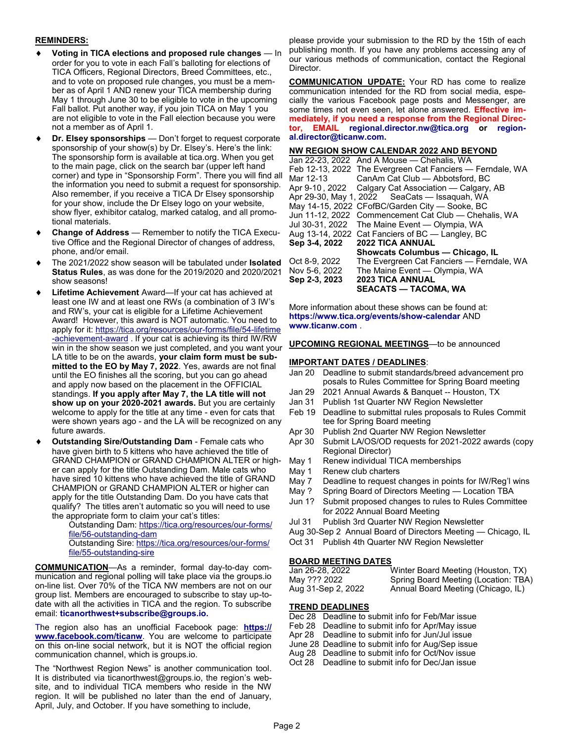#### **REMINDERS:**

- **Voting in TICA elections and proposed rule changes In** order for you to vote in each Fall's balloting for elections of TICA Officers, Regional Directors, Breed Committees, etc., and to vote on proposed rule changes, you must be a member as of April 1 AND renew your TICA membership during May 1 through June 30 to be eligible to vote in the upcoming Fall ballot. Put another way, if you join TICA on May 1 you are not eligible to vote in the Fall election because you were not a member as of April 1.
- **Dr. Elsey sponsorships** Don't forget to request corporate sponsorship of your show(s) by Dr. Elsey's. Here's the link: The sponsorship form is available at tica.org. When you get to the main page, click on the search bar (upper left hand corner) and type in "Sponsorship Form". There you will find all the information you need to submit a request for sponsorship. Also remember, if you receive a TICA Dr Elsey sponsorship for your show, include the Dr Elsey logo on your website, show flyer, exhibitor catalog, marked catalog, and all promotional materials.
- **Change of Address**  Remember to notify the TICA Executive Office and the Regional Director of changes of address, phone, and/or email.
- The 2021/2022 show season will be tabulated under **Isolated Status Rules**, as was done for the 2019/2020 and 2020/2021 show seasons!
- **Lifetime Achievement** Award—If your cat has achieved at least one IW and at least one RWs (a combination of 3 IW's and RW's, your cat is eligible for a Lifetime Achievement Award! However, this award is NOT automatic. You need to apply for it: [https://tica.org/resources/our](https://tica.org/resources/our-forms/file/54-lifetime-achievement-award)-forms/file/54-lifetime -[achievement](https://tica.org/resources/our-forms/file/54-lifetime-achievement-award)-award . If your cat is achieving its third IW/RW win in the show season we just completed, and you want your LA title to be on the awards, **your claim form must be submitted to the EO by May 7, 2022**. Yes, awards are not final until the EO finishes all the scoring, but you can go ahead and apply now based on the placement in the OFFICIAL standings. **If you apply after May 7, the LA title will not show up on your 2020-2021 awards.** But you are certainly welcome to apply for the title at any time - even for cats that were shown years ago - and the LA will be recognized on any future awards.
- **Outstanding Sire/Outstanding Dam**  Female cats who have given birth to 5 kittens who have achieved the title of GRAND CHAMPION or GRAND CHAMPION ALTER or higher can apply for the title Outstanding Dam. Male cats who have sired 10 kittens who have achieved the title of GRAND CHAMPION or GRAND CHAMPION ALTER or higher can apply for the title Outstanding Dam. Do you have cats that qualify? The titles aren't automatic so you will need to use the appropriate form to claim your cat's titles:
	- Outstanding Dam: [https://tica.org/resources/our](https://tica.org/resources/our-forms/file/56-outstanding-dam)-forms/ file/56-[outstanding](https://tica.org/resources/our-forms/file/56-outstanding-dam)-dam Outstanding Sire: [https://tica.org/resources/our](https://tica.org/resources/our-forms/file/55-outstanding-sire)-forms/ file/55-[outstanding](https://tica.org/resources/our-forms/file/55-outstanding-sire)-sire

**COMMUNICATION**—As a reminder, formal day-to-day communication and regional polling will take place via the groups.io on-line list. Over 70% of the TICA NW members are not on our group list. Members are encouraged to subscribe to stay up-todate with all the activities in TICA and the region. To subscribe email: **ticanorthwest+subscribe@groups.io.** 

The region also has an unofficial Facebook page: **[https://](https://www.facebook.com/ticanw) [www.facebook.com/ticanw](https://www.facebook.com/ticanw)**. You are welcome to participate on this on-line social network, but it is NOT the official region communication channel, which is groups.io.

The "Northwest Region News" is another communication tool. It is distributed via ticanorthwest@groups.io, the region's website, and to individual TICA members who reside in the NW region. It will be published no later than the end of January, April, July, and October. If you have something to include,

please provide your submission to the RD by the 15th of each publishing month. If you have any problems accessing any of our various methods of communication, contact the Regional Director.

**COMMUNICATION UPDATE:** Your RD has come to realize communication intended for the RD from social media, especially the various Facebook page posts and Messenger, are some times not even seen, let alone answered. **Effective immediately, if you need a response from the Regional Director, EMAIL regional.director.nw@tica.org or regional.director@ticanw.com.** 

## **NW REGION SHOW CALENDAR 2022 AND BEYOND**

|               | Jan 22-23, 2022 And A Mouse - Chehalis, WA                |
|---------------|-----------------------------------------------------------|
|               | Feb 12-13, 2022 The Evergreen Cat Fanciers — Ferndale, WA |
| Mar 12-13     | CanAm Cat Club - Abbotsford, BC                           |
|               | Apr 9-10, 2022 Calgary Cat Association — Calgary, AB      |
|               | Apr 29-30, May 1, 2022 SeaCats — Issaquah, WA             |
|               | May 14-15, 2022 CFofBC/Garden City - Sooke, BC            |
|               | Jun 11-12, 2022 Commencement Cat Club - Chehalis, WA      |
|               | Jul 30-31, 2022 The Maine Event - Olympia, WA             |
|               | Aug 13-14, 2022 Cat Fanciers of BC — Langley, BC          |
|               | Sep 3-4, 2022 2022 TICA ANNUAL                            |
|               | Showcats Columbus — Chicago, IL                           |
| Oct 8-9, 2022 | The Evergreen Cat Fanciers - Ferndale, WA                 |
| Nov 5-6, 2022 | The Maine Event - Olympia, WA                             |
| Sep 2-3, 2023 | <b>2023 TICA ANNUAL</b>                                   |
|               | <b>SEACATS — TACOMA, WA</b>                               |

More information about these shows can be found at: **https://www.tica.org/events/show-calendar** AND **www.ticanw.com** .

#### **UPCOMING REGIONAL MEETINGS**—to be announced

### **IMPORTANT DATES / DEADLINES**:

- Jan 20 Deadline to submit standards/breed advancement pro posals to Rules Committee for Spring Board meeting
- Jan 29 2021 Annual Awards & Banquet -- Houston, TX
- Jan 31 Publish 1st Quarter NW Region Newsletter
- Feb 19 Deadline to submittal rules proposals to Rules Commit tee for Spring Board meeting
- Apr 30 Publish 2nd Quarter NW Region Newsletter
- Apr 30 Submit LA/OS/OD requests for 2021-2022 awards (copy Regional Director)
- May 1 Renew individual TICA memberships
- May 1 Renew club charters
- May 7 Deadline to request changes in points for IW/Reg'l wins
- May ? Spring Board of Directors Meeting Location TBA
- Jun 1? Submit proposed changes to rules to Rules Committee for 2022 Annual Board Meeting
- Jul 31 Publish 3rd Quarter NW Region Newsletter
- Aug 30-Sep 2 Annual Board of Directors Meeting Chicago, IL
- Oct 31 Publish 4th Quarter NW Region Newsletter

# **BOARD MEETING DATES**

| Jan 26-28, 2022    | Winter Board Meeting (Houston, TX)   |
|--------------------|--------------------------------------|
| May ??? 2022       | Spring Board Meeting (Location: TBA) |
| Aug 31-Sep 2, 2022 | Annual Board Meeting (Chicago, IL)   |

# **TREND DEADLINES**

- Dec 28 Deadline to submit info for Feb/Mar issue
- Feb 28 Deadline to submit info for Apr/May issue
- Apr 28 Deadline to submit info for Jun/Jul issue
- June 28 Deadline to submit info for Aug/Sep issue Aug 28 Deadline to submit info for Oct/Nov issue
- Oct 28 Deadline to submit info for Dec/Jan issue